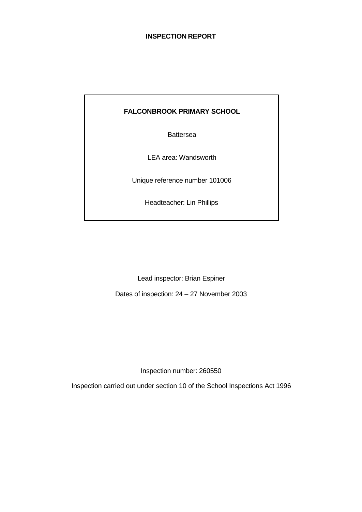## **INSPECTION REPORT**

## **FALCONBROOK PRIMARY SCHOOL**

Battersea

LEA area: Wandsworth

Unique reference number 101006

Headteacher: Lin Phillips

Lead inspector: Brian Espiner

Dates of inspection: 24 – 27 November 2003

Inspection number: 260550

Inspection carried out under section 10 of the School Inspections Act 1996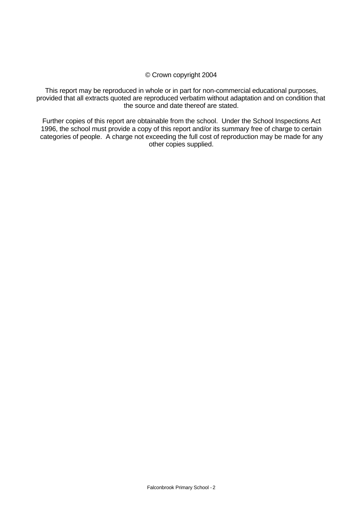#### © Crown copyright 2004

This report may be reproduced in whole or in part for non-commercial educational purposes, provided that all extracts quoted are reproduced verbatim without adaptation and on condition that the source and date thereof are stated.

Further copies of this report are obtainable from the school. Under the School Inspections Act 1996, the school must provide a copy of this report and/or its summary free of charge to certain categories of people. A charge not exceeding the full cost of reproduction may be made for any other copies supplied.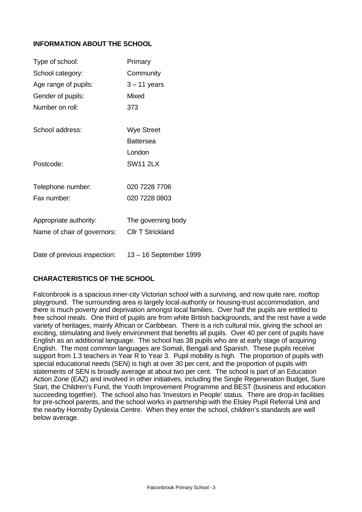## **INFORMATION ABOUT THE SCHOOL**

| Type of school:              | Primary                  |
|------------------------------|--------------------------|
| School category:             | Community                |
| Age range of pupils:         | $3 - 11$ years           |
| Gender of pupils:            | <b>Mixed</b>             |
| Number on roll:              | 373                      |
|                              |                          |
| School address:              | <b>Wye Street</b>        |
|                              | <b>Battersea</b>         |
|                              | London                   |
| Postcode:                    | <b>SW11 2LX</b>          |
| Telephone number:            | 020 7228 7706            |
| Fax number:                  | 020 7228 0803            |
| Appropriate authority:       | The governing body       |
|                              |                          |
| Name of chair of governors:  | <b>CIIr T Strickland</b> |
| Date of previous inspection: | 13 – 16 September 1999   |

## **CHARACTERISTICS OF THE SCHOOL**

Falconbrook is a spacious inner-city Victorian school with a surviving, and now quite rare, rooftop playground. The surrounding area is largely local-authority or housing-trust accommodation, and there is much poverty and deprivation amongst local families. Over half the pupils are entitled to free school meals. One third of pupils are from white British backgrounds, and the rest have a wide variety of heritages, mainly African or Caribbean. There is a rich cultural mix, giving the school an exciting, stimulating and lively environment that benefits all pupils. Over 40 per cent of pupils have English as an additional language. The school has 38 pupils who are at early stage of acquiring English. The most common languages are Somali, Bengali and Spanish. These pupils receive support from 1.3 teachers in Year R to Year 3. Pupil mobility is high. The proportion of pupils with special educational needs (SEN) is high at over 30 per cent, and the proportion of pupils with statements of SEN is broadly average at about two per cent. The school is part of an Education Action Zone (EAZ) and involved in other initiatives, including the Single Regeneration Budget, Sure Start, the Children's Fund, the Youth Improvement Programme and BEST (business and education succeeding together). The school also has 'Investors in People' status. There are drop-in facilities for pre-school parents, and the school works in partnership with the Elsley Pupil Referral Unit and the nearby Hornsby Dyslexia Centre. When they enter the school, children's standards are well below average.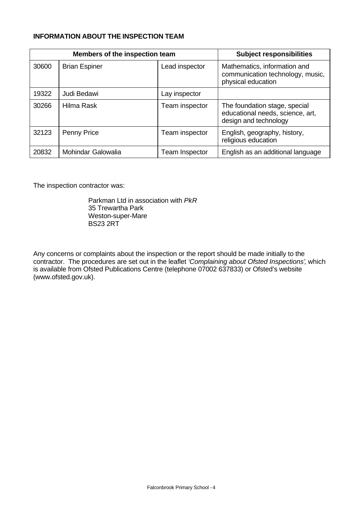## **INFORMATION ABOUT THE INSPECTION TEAM**

| Members of the inspection team |                      | <b>Subject responsibilities</b> |                                                                                            |
|--------------------------------|----------------------|---------------------------------|--------------------------------------------------------------------------------------------|
| 30600                          | <b>Brian Espiner</b> | Lead inspector                  | Mathematics, information and<br>communication technology, music,<br>physical education     |
| 19322                          | Judi Bedawi          | Lay inspector                   |                                                                                            |
| 30266                          | Hilma Rask           | Team inspector                  | The foundation stage, special<br>educational needs, science, art,<br>design and technology |
| 32123                          | <b>Penny Price</b>   | Team inspector                  | English, geography, history,<br>religious education                                        |
| 20832                          | Mohindar Galowalia   | Team Inspector                  | English as an additional language                                                          |

The inspection contractor was:

Parkman Ltd in association with *PkR* 35 Trewartha Park Weston-super-Mare BS23 2RT

Any concerns or complaints about the inspection or the report should be made initially to the contractor. The procedures are set out in the leaflet *'Complaining about Ofsted Inspections'*, which is available from Ofsted Publications Centre (telephone 07002 637833) or Ofsted's website (www.ofsted.gov.uk).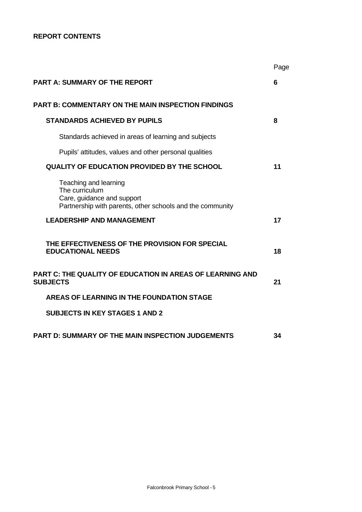## **REPORT CONTENTS**

|                                                                                                                                    | Page |
|------------------------------------------------------------------------------------------------------------------------------------|------|
| <b>PART A: SUMMARY OF THE REPORT</b>                                                                                               | 6    |
| <b>PART B: COMMENTARY ON THE MAIN INSPECTION FINDINGS</b>                                                                          |      |
| <b>STANDARDS ACHIEVED BY PUPILS</b>                                                                                                | 8    |
| Standards achieved in areas of learning and subjects                                                                               |      |
| Pupils' attitudes, values and other personal qualities                                                                             |      |
| <b>QUALITY OF EDUCATION PROVIDED BY THE SCHOOL</b>                                                                                 | 11   |
| Teaching and learning<br>The curriculum<br>Care, guidance and support<br>Partnership with parents, other schools and the community |      |
| <b>LEADERSHIP AND MANAGEMENT</b>                                                                                                   | 17   |
| THE EFFECTIVENESS OF THE PROVISION FOR SPECIAL<br><b>EDUCATIONAL NEEDS</b>                                                         | 18   |
| PART C: THE QUALITY OF EDUCATION IN AREAS OF LEARNING AND<br><b>SUBJECTS</b>                                                       | 21   |
| <b>AREAS OF LEARNING IN THE FOUNDATION STAGE</b>                                                                                   |      |
| <b>SUBJECTS IN KEY STAGES 1 AND 2</b>                                                                                              |      |
| PART D: SUMMARY OF THE MAIN INSPECTION JUDGEMENTS                                                                                  | 34   |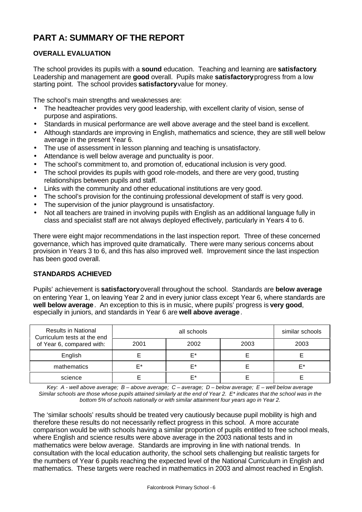# **PART A: SUMMARY OF THE REPORT**

## **OVERALL EVALUATION**

The school provides its pupils with a **sound** education. Teaching and learning are **satisfactory**. Leadership and management are **good** overall. Pupils make **satisfactory** progress from a low starting point. The school provides **satisfactory** value for money.

The school's main strengths and weaknesses are:

- The headteacher provides very good leadership, with excellent clarity of vision, sense of purpose and aspirations.
- Standards in musical performance are well above average and the steel band is excellent.
- Although standards are improving in English, mathematics and science, they are still well below average in the present Year 6.
- The use of assessment in lesson planning and teaching is unsatisfactory.
- Attendance is well below average and punctuality is poor.
- The school's commitment to, and promotion of, educational inclusion is very good.
- The school provides its pupils with good role-models, and there are very good, trusting relationships between pupils and staff.
- Links with the community and other educational institutions are very good.
- The school's provision for the continuing professional development of staff is very good.
- The supervision of the junior playground is unsatisfactory.
- Not all teachers are trained in involving pupils with English as an additional language fully in class and specialist staff are not always deployed effectively, particularly in Years 4 to 6.

There were eight major recommendations in the last inspection report. Three of these concerned governance, which has improved quite dramatically. There were many serious concerns about provision in Years 3 to 6, and this has also improved well. Improvement since the last inspection has been good overall.

## **STANDARDS ACHIEVED**

Pupils' achievement is **satisfactory** overall throughout the school. Standards are **below average** on entering Year 1, on leaving Year 2 and in every junior class except Year 6, where standards are **well below average**. An exception to this is in music, where pupils' progress is **very good**, especially in juniors, and standards in Year 6 are **well above average**.

| <b>Results in National</b><br>Curriculum tests at the end |      | similar schools |      |      |
|-----------------------------------------------------------|------|-----------------|------|------|
| of Year 6, compared with:                                 | 2001 | 2002            | 2003 | 2003 |
| English                                                   |      | F*              |      |      |
| mathematics                                               | ⊏∗   | F*              |      | F*   |
| science                                                   |      | F*              |      |      |

*Key: A - well above average; B – above average; C – average; D – below average; E – well below average Similar schools are those whose pupils attained similarly at the end of Year 2. E\* indicates that the school was in the bottom 5% of schools nationally or with similar attainment four years ago in Year 2.*

The 'similar schools' results should be treated very cautiously because pupil mobility is high and therefore these results do not necessarily reflect progress in this school. A more accurate comparison would be with schools having a similar proportion of pupils entitled to free school meals, where English and science results were above average in the 2003 national tests and in mathematics were below average. Standards are improving in line with national trends. In consultation with the local education authority, the school sets challenging but realistic targets for the numbers of Year 6 pupils reaching the expected level of the National Curriculum in English and mathematics. These targets were reached in mathematics in 2003 and almost reached in English.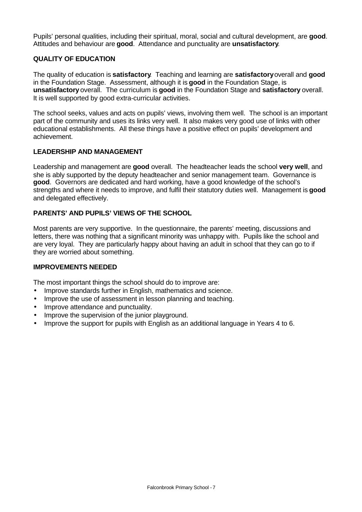Pupils' personal qualities, including their spiritual, moral, social and cultural development, are **good**. Attitudes and behaviour are **good**. Attendance and punctuality are **unsatisfactory**.

## **QUALITY OF EDUCATION**

The quality of education is **satisfactory**. Teaching and learning are **satisfactory** overall and **good** in the Foundation Stage. Assessment, although it is **good** in the Foundation Stage, is **unsatisfactory** overall. The curriculum is **good** in the Foundation Stage and **satisfactory** overall. It is well supported by good extra-curricular activities.

The school seeks, values and acts on pupils' views, involving them well. The school is an important part of the community and uses its links very well. It also makes very good use of links with other educational establishments. All these things have a positive effect on pupils' development and achievement.

## **LEADERSHIP AND MANAGEMENT**

Leadership and management are **good** overall. The headteacher leads the school **very well**, and she is ably supported by the deputy headteacher and senior management team. Governance is **good**. Governors are dedicated and hard working, have a good knowledge of the school's strengths and where it needs to improve, and fulfil their statutory duties well. Management is **good** and delegated effectively.

## **PARENTS' AND PUPILS' VIEWS OF THE SCHOOL**

Most parents are very supportive. In the questionnaire, the parents' meeting, discussions and letters, there was nothing that a significant minority was unhappy with. Pupils like the school and are very loyal. They are particularly happy about having an adult in school that they can go to if they are worried about something.

## **IMPROVEMENTS NEEDED**

The most important things the school should do to improve are:

- Improve standards further in English, mathematics and science.
- Improve the use of assessment in lesson planning and teaching.
- Improve attendance and punctuality.
- Improve the supervision of the junior playground.
- Improve the support for pupils with English as an additional language in Years 4 to 6.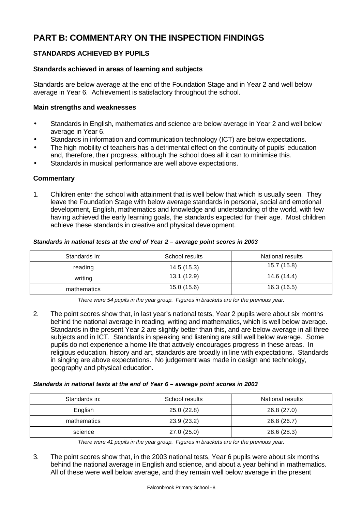# **PART B: COMMENTARY ON THE INSPECTION FINDINGS**

## **STANDARDS ACHIEVED BY PUPILS**

## **Standards achieved in areas of learning and subjects**

Standards are below average at the end of the Foundation Stage and in Year 2 and well below average in Year 6. Achievement is satisfactory throughout the school.

## **Main strengths and weaknesses**

- Standards in English, mathematics and science are below average in Year 2 and well below average in Year 6.
- Standards in information and communication technology (ICT) are below expectations.
- The high mobility of teachers has a detrimental effect on the continuity of pupils' education and, therefore, their progress, although the school does all it can to minimise this.
- Standards in musical performance are well above expectations.

## **Commentary**

1. Children enter the school with attainment that is well below that which is usually seen. They leave the Foundation Stage with below average standards in personal, social and emotional development, English, mathematics and knowledge and understanding of the world, with few having achieved the early learning goals, the standards expected for their age. Most children achieve these standards in creative and physical development.

#### *Standards in national tests at the end of Year 2 – average point scores in 2003*

| Standards in: | School results | <b>National results</b> |
|---------------|----------------|-------------------------|
| reading       | 14.5 (15.3)    | 15.7(15.8)              |
| writing       | 13.1(12.9)     | 14.6 (14.4)             |
| mathematics   | 15.0 (15.6)    | 16.3 (16.5)             |

*There were 54 pupils in the year group. Figures in brackets are for the previous year.*

2. The point scores show that, in last year's national tests, Year 2 pupils were about six months behind the national average in reading, writing and mathematics, which is well below average. Standards in the present Year 2 are slightly better than this, and are below average in all three subjects and in ICT. Standards in speaking and listening are still well below average. Some pupils do not experience a home life that actively encourages progress in these areas. In religious education, history and art, standards are broadly in line with expectations. Standards in singing are above expectations. No judgement was made in design and technology, geography and physical education.

#### *Standards in national tests at the end of Year 6 – average point scores in 2003*

| Standards in: | School results | National results |
|---------------|----------------|------------------|
| English       | 25.0(22.8)     | 26.8 (27.0)      |
| mathematics   | 23.9(23.2)     | 26.8 (26.7)      |
| science       | 27.0(25.0)     | 28.6 (28.3)      |

*There were 41 pupils in the year group. Figures in brackets are for the previous year.*

3. The point scores show that, in the 2003 national tests, Year 6 pupils were about six months behind the national average in English and science, and about a year behind in mathematics. All of these were well below average, and they remain well below average in the present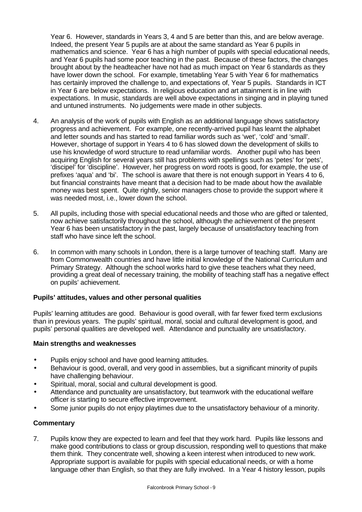Year 6. However, standards in Years 3, 4 and 5 are better than this, and are below average. Indeed, the present Year 5 pupils are at about the same standard as Year 6 pupils in mathematics and science. Year 6 has a high number of pupils with special educational needs, and Year 6 pupils had some poor teaching in the past. Because of these factors, the changes brought about by the headteacher have not had as much impact on Year 6 standards as they have lower down the school. For example, timetabling Year 5 with Year 6 for mathematics has certainly improved the challenge to, and expectations of, Year 5 pupils. Standards in ICT in Year 6 are below expectations. In religious education and art attainment is in line with expectations. In music, standards are well above expectations in singing and in playing tuned and untuned instruments. No judgements were made in other subjects.

- 4. An analysis of the work of pupils with English as an additional language shows satisfactory progress and achievement. For example, one recently-arrived pupil has learnt the alphabet and letter sounds and has started to read familiar words such as 'wet', 'cold' and 'small'. However, shortage of support in Years 4 to 6 has slowed down the development of skills to use his knowledge of word structure to read unfamiliar words. Another pupil who has been acquiring English for several years still has problems with spellings such as 'petes' for 'pets', 'discipel' for 'discipline'. However, her progress on word roots is good, for example, the use of prefixes 'aqua' and 'bi'. The school is aware that there is not enough support in Years 4 to 6, but financial constraints have meant that a decision had to be made about how the available money was best spent. Quite rightly, senior managers chose to provide the support where it was needed most, i.e., lower down the school.
- 5. All pupils, including those with special educational needs and those who are gifted or talented, now achieve satisfactorily throughout the school, although the achievement of the present Year 6 has been unsatisfactory in the past, largely because of unsatisfactory teaching from staff who have since left the school.
- 6. In common with many schools in London, there is a large turnover of teaching staff. Many are from Commonwealth countries and have little initial knowledge of the National Curriculum and Primary Strategy. Although the school works hard to give these teachers what they need, providing a great deal of necessary training, the mobility of teaching staff has a negative effect on pupils' achievement.

## **Pupils' attitudes, values and other personal qualities**

Pupils' learning attitudes are good. Behaviour is good overall, with far fewer fixed term exclusions than in previous years. The pupils' spiritual, moral, social and cultural development is good, and pupils' personal qualities are developed well. Attendance and punctuality are unsatisfactory.

## **Main strengths and weaknesses**

- Pupils enjoy school and have good learning attitudes.
- Behaviour is good, overall, and very good in assemblies, but a significant minority of pupils have challenging behaviour.
- Spiritual, moral, social and cultural development is good.
- Attendance and punctuality are unsatisfactory, but teamwork with the educational welfare officer is starting to secure effective improvement.
- Some iunior pupils do not eniov playtimes due to the unsatisfactory behaviour of a minority.

## **Commentary**

7. Pupils know they are expected to learn and feel that they work hard. Pupils like lessons and make good contributions to class or group discussion, responding well to questions that make them think. They concentrate well, showing a keen interest when introduced to new work. Appropriate support is available for pupils with special educational needs, or with a home language other than English, so that they are fully involved. In a Year 4 history lesson, pupils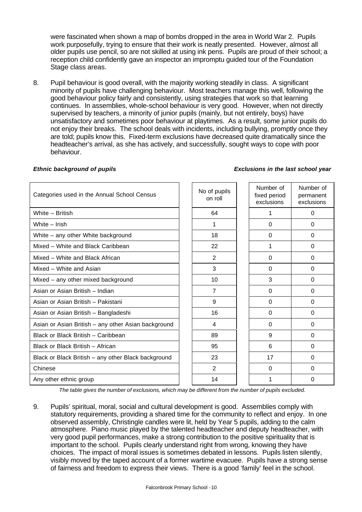were fascinated when shown a map of bombs dropped in the area in World War 2. Pupils work purposefully, trying to ensure that their work is neatly presented. However, almost all older pupils use pencil, so are not skilled at using ink pens. Pupils are proud of their school; a reception child confidently gave an inspector an impromptu guided tour of the Foundation Stage class areas.

8. Pupil behaviour is good overall, with the majority working steadily in class. A significant minority of pupils have challenging behaviour. Most teachers manage this well, following the good behaviour policy fairly and consistently, using strategies that work so that learning continues. In assemblies, whole-school behaviour is very good. However, when not directly supervised by teachers, a minority of junior pupils (mainly, but not entirely, boys) have unsatisfactory and sometimes poor behaviour at playtimes. As a result, some junior pupils do not enjoy their breaks. The school deals with incidents, including bullying, promptly once they are told; pupils know this. Fixed-term exclusions have decreased quite dramatically since the headteacher's arrival, as she has actively, and successfully, sought ways to cope with poor behaviour.

| No of pupils<br>on roll | Number of<br>fixed period<br>exclusions | Number of<br>permanent<br>exclusions |
|-------------------------|-----------------------------------------|--------------------------------------|
| 64                      |                                         | $\Omega$                             |
| 1                       | $\Omega$                                | $\Omega$                             |
| 18                      | $\Omega$                                | $\Omega$                             |
| 22                      | 1                                       | $\Omega$                             |
| 2                       | $\Omega$                                | 0                                    |
| 3                       | $\Omega$                                | 0                                    |
| 10                      | 3                                       | 0                                    |
| $\overline{7}$          | 0                                       | 0                                    |
| 9                       | 0                                       | 0                                    |
| 16                      | 0                                       | 0                                    |
| 4                       | $\Omega$                                | 0                                    |
| 89                      | 9                                       | $\Omega$                             |
| 95                      | 6                                       | $\Omega$                             |
| 23                      | 17                                      | 0                                    |
| 2                       | $\Omega$                                | $\Omega$                             |
| 14                      |                                         | 0                                    |
|                         |                                         |                                      |

#### *Ethnic background of pupils Exclusions in the last school year*

*The table gives the number of exclusions, which may be different from the number of pupils excluded.*

9. Pupils' spiritual, moral, social and cultural development is good. Assemblies comply with statutory requirements, providing a shared time for the community to reflect and enjoy. In one observed assembly, Christingle candles were lit, held by Year 5 pupils, adding to the calm atmosphere. Piano music played by the talented headteacher and deputy headteacher, with very good pupil performances, make a strong contribution to the positive spirituality that is important to the school. Pupils clearly understand right from wrong, knowing they have choices. The impact of moral issues is sometimes debated in lessons. Pupils listen silently, visibly moved by the taped account of a former wartime evacuee. Pupils have a strong sense of fairness and freedom to express their views. There is a good 'family' feel in the school.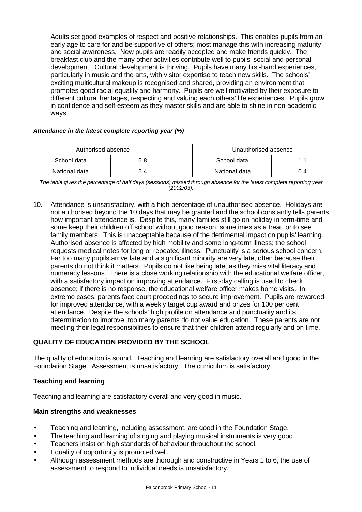Adults set good examples of respect and positive relationships. This enables pupils from an early age to care for and be supportive of others; most manage this with increasing maturity and social awareness. New pupils are readily accepted and make friends quickly. The breakfast club and the many other activities contribute well to pupils' social and personal development. Cultural development is thriving. Pupils have many first-hand experiences, particularly in music and the arts, with visitor expertise to teach new skills. The schools' exciting multicultural makeup is recognised and shared, providing an environment that promotes good racial equality and harmony. Pupils are well motivated by their exposure to different cultural heritages, respecting and valuing each others' life experiences. Pupils grow in confidence and self-esteem as they master skills and are able to shine in non-academic ways.

## *Attendance in the latest complete reporting year (%)*

| Authorised absence |     |  | Unauthorised absence |     |
|--------------------|-----|--|----------------------|-----|
| School data        | 5.8 |  | School data          | 11  |
| National data      | 5.4 |  | National data        | 0.4 |

*The table gives the percentage of half days (sessions) missed through absence for the latest complete reporting year (2002/03).*

10. Attendance is unsatisfactory, with a high percentage of unauthorised absence. Holidays are not authorised beyond the 10 days that may be granted and the school constantly tells parents how important attendance is. Despite this, many families still go on holiday in term-time and some keep their children off school without good reason, sometimes as a treat, or to see family members. This is unacceptable because of the detrimental impact on pupils' learning. Authorised absence is affected by high mobility and some long-term illness; the school requests medical notes for long or repeated illness. Punctuality is a serious school concern. Far too many pupils arrive late and a significant minority are very late, often because their parents do not think it matters. Pupils do not like being late, as they miss vital literacy and numeracy lessons. There is a close working relationship with the educational welfare officer, with a satisfactory impact on improving attendance. First-day calling is used to check absence; if there is no response, the educational welfare officer makes home visits. In extreme cases, parents face court proceedings to secure improvement. Pupils are rewarded for improved attendance, with a weekly target cup award and prizes for 100 per cent attendance. Despite the schools' high profile on attendance and punctuality and its determination to improve, too many parents do not value education. These parents are not meeting their legal responsibilities to ensure that their children attend regularly and on time.

## **QUALITY OF EDUCATION PROVIDED BY THE SCHOOL**

The quality of education is sound. Teaching and learning are satisfactory overall and good in the Foundation Stage. Assessment is unsatisfactory. The curriculum is satisfactory.

#### **Teaching and learning**

Teaching and learning are satisfactory overall and very good in music.

#### **Main strengths and weaknesses**

- Teaching and learning, including assessment, are good in the Foundation Stage.
- The teaching and learning of singing and playing musical instruments is very good.
- Teachers insist on high standards of behaviour throughout the school.
- Equality of opportunity is promoted well.
- Although assessment methods are thorough and constructive in Years 1 to 6, the use of assessment to respond to individual needs is unsatisfactory.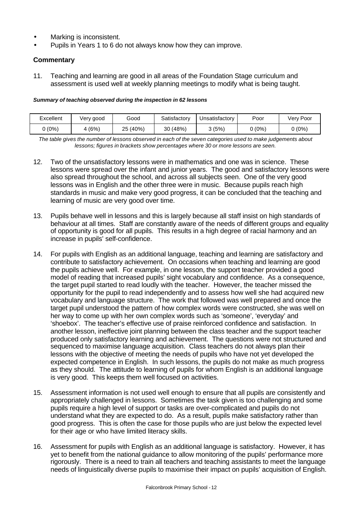- Marking is inconsistent.
- Pupils in Years 1 to 6 do not always know how they can improve.

## **Commentary**

11. Teaching and learning are good in all areas of the Foundation Stage curriculum and assessment is used well at weekly planning meetings to modify what is being taught.

#### *Summary of teaching observed during the inspection in 62 lessons*

| Excellent | Very good | Good       | Satisfactorv | Unsatisfactorv | Poor   | √ery Poor |
|-----------|-----------|------------|--------------|----------------|--------|-----------|
| (0%)      | 4 (6%)    | (40%<br>25 | 30 (48%)     | 3 (5%)         | 0 (0%) | (0%)      |

*The table gives the number of lessons observed in each of the seven categories used to make judgements about lessons; figures in brackets show percentages where 30 or more lessons are seen.*

- 12. Two of the unsatisfactory lessons were in mathematics and one was in science. These lessons were spread over the infant and junior years. The good and satisfactory lessons were also spread throughout the school, and across all subjects seen. One of the very good lessons was in English and the other three were in music. Because pupils reach high standards in music and make very good progress, it can be concluded that the teaching and learning of music are very good over time.
- 13. Pupils behave well in lessons and this is largely because all staff insist on high standards of behaviour at all times. Staff are constantly aware of the needs of different groups and equality of opportunity is good for all pupils. This results in a high degree of racial harmony and an increase in pupils' self-confidence.
- 14. For pupils with English as an additional language, teaching and learning are satisfactory and contribute to satisfactory achievement. On occasions when teaching and learning are good the pupils achieve well. For example, in one lesson, the support teacher provided a good model of reading that increased pupils' sight vocabulary and confidence. As a consequence, the target pupil started to read loudly with the teacher. However, the teacher missed the opportunity for the pupil to read independently and to assess how well she had acquired new vocabulary and language structure. The work that followed was well prepared and once the target pupil understood the pattern of how complex words were constructed, she was well on her way to come up with her own complex words such as 'someone', 'everyday' and 'shoebox'. The teacher's effective use of praise reinforced confidence and satisfaction. In another lesson, ineffective joint planning between the class teacher and the support teacher produced only satisfactory learning and achievement. The questions were not structured and sequenced to maximise language acquisition. Class teachers do not always plan their lessons with the objective of meeting the needs of pupils who have not yet developed the expected competence in English. In such lessons, the pupils do not make as much progress as they should. The attitude to learning of pupils for whom English is an additional language is very good. This keeps them well focused on activities.
- 15. Assessment information is not used well enough to ensure that all pupils are consistently and appropriately challenged in lessons. Sometimes the task given is too challenging and some pupils require a high level of support or tasks are over-complicated and pupils do not understand what they are expected to do. As a result, pupils make satisfactory rather than good progress. This is often the case for those pupils who are just below the expected level for their age or who have limited literacy skills.
- 16. Assessment for pupils with English as an additional language is satisfactory. However, it has yet to benefit from the national guidance to allow monitoring of the pupils' performance more rigorously. There is a need to train all teachers and teaching assistants to meet the language needs of linguistically diverse pupils to maximise their impact on pupils' acquisition of English.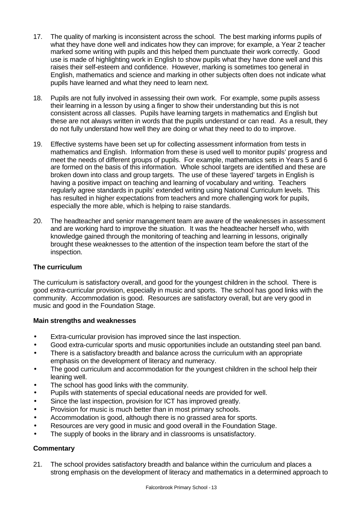- 17. The quality of marking is inconsistent across the school. The best marking informs pupils of what they have done well and indicates how they can improve; for example, a Year 2 teacher marked some writing with pupils and this helped them punctuate their work correctly. Good use is made of highlighting work in English to show pupils what they have done well and this raises their self-esteem and confidence. However, marking is sometimes too general in English, mathematics and science and marking in other subjects often does not indicate what pupils have learned and what they need to learn next.
- 18. Pupils are not fully involved in assessing their own work. For example, some pupils assess their learning in a lesson by using a finger to show their understanding but this is not consistent across all classes. Pupils have learning targets in mathematics and English but these are not always written in words that the pupils understand or can read. As a result, they do not fully understand how well they are doing or what they need to do to improve.
- 19. Effective systems have been set up for collecting assessment information from tests in mathematics and English. Information from these is used well to monitor pupils' progress and meet the needs of different groups of pupils. For example, mathematics sets in Years 5 and 6 are formed on the basis of this information. Whole school targets are identified and these are broken down into class and group targets. The use of these 'layered' targets in English is having a positive impact on teaching and learning of vocabulary and writing. Teachers regularly agree standards in pupils' extended writing using National Curriculum levels. This has resulted in higher expectations from teachers and more challenging work for pupils, especially the more able, which is helping to raise standards.
- 20. The headteacher and senior management team are aware of the weaknesses in assessment and are working hard to improve the situation. It was the headteacher herself who, with knowledge gained through the monitoring of teaching and learning in lessons, originally brought these weaknesses to the attention of the inspection team before the start of the inspection.

## **The curriculum**

The curriculum is satisfactory overall, and good for the youngest children in the school. There is good extra-curricular provision, especially in music and sports. The school has good links with the community. Accommodation is good. Resources are satisfactory overall, but are very good in music and good in the Foundation Stage.

## **Main strengths and weaknesses**

- Extra-curricular provision has improved since the last inspection.
- Good extra-curricular sports and music opportunities include an outstanding steel pan band.
- There is a satisfactory breadth and balance across the curriculum with an appropriate emphasis on the development of literacy and numeracy.
- The good curriculum and accommodation for the youngest children in the school help their leaning well.
- The school has good links with the community.
- Pupils with statements of special educational needs are provided for well.
- Since the last inspection, provision for ICT has improved greatly.
- Provision for music is much better than in most primary schools.
- Accommodation is good, although there is no grassed area for sports.
- Resources are very good in music and good overall in the Foundation Stage.
- The supply of books in the library and in classrooms is unsatisfactory.

## **Commentary**

21. The school provides satisfactory breadth and balance within the curriculum and places a strong emphasis on the development of literacy and mathematics in a determined approach to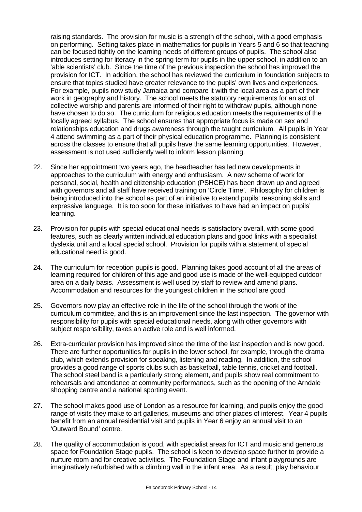raising standards. The provision for music is a strength of the school, with a good emphasis on performing. Setting takes place in mathematics for pupils in Years 5 and 6 so that teaching can be focused tightly on the learning needs of different groups of pupils. The school also introduces setting for literacy in the spring term for pupils in the upper school, in addition to an 'able scientists' club. Since the time of the previous inspection the school has improved the provision for ICT. In addition, the school has reviewed the curriculum in foundation subjects to ensure that topics studied have greater relevance to the pupils' own lives and experiences. For example, pupils now study Jamaica and compare it with the local area as a part of their work in geography and history. The school meets the statutory requirements for an act of collective worship and parents are informed of their right to withdraw pupils, although none have chosen to do so. The curriculum for religious education meets the requirements of the locally agreed syllabus. The school ensures that appropriate focus is made on sex and relationships education and drugs awareness through the taught curriculum. All pupils in Year 4 attend swimming as a part of their physical education programme. Planning is consistent across the classes to ensure that all pupils have the same learning opportunities. However, assessment is not used sufficiently well to inform lesson planning.

- 22. Since her appointment two years ago, the headteacher has led new developments in approaches to the curriculum with energy and enthusiasm. A new scheme of work for personal, social, health and citizenship education (PSHCE) has been drawn up and agreed with governors and all staff have received training on 'Circle Time'. Philosophy for children is being introduced into the school as part of an initiative to extend pupils' reasoning skills and expressive language. It is too soon for these initiatives to have had an impact on pupils' learning.
- 23. Provision for pupils with special educational needs is satisfactory overall, with some good features, such as clearly written individual education plans and good links with a specialist dyslexia unit and a local special school. Provision for pupils with a statement of special educational need is good.
- 24. The curriculum for reception pupils is good. Planning takes good account of all the areas of learning required for children of this age and good use is made of the well-equipped outdoor area on a daily basis. Assessment is well used by staff to review and amend plans. Accommodation and resources for the youngest children in the school are good.
- 25. Governors now play an effective role in the life of the school through the work of the curriculum committee, and this is an improvement since the last inspection. The governor with responsibility for pupils with special educational needs, along with other governors with subject responsibility, takes an active role and is well informed.
- 26. Extra-curricular provision has improved since the time of the last inspection and is now good. There are further opportunities for pupils in the lower school, for example, through the drama club, which extends provision for speaking, listening and reading. In addition, the school provides a good range of sports clubs such as basketball, table tennis, cricket and football. The school steel band is a particularly strong element, and pupils show real commitment to rehearsals and attendance at community performances, such as the opening of the Arndale shopping centre and a national sporting event.
- 27. The school makes good use of London as a resource for learning, and pupils enjoy the good range of visits they make to art galleries, museums and other places of interest. Year 4 pupils benefit from an annual residential visit and pupils in Year 6 enjoy an annual visit to an 'Outward Bound' centre.
- 28. The quality of accommodation is good, with specialist areas for ICT and music and generous space for Foundation Stage pupils. The school is keen to develop space further to provide a nurture room and for creative activities. The Foundation Stage and infant playgrounds are imaginatively refurbished with a climbing wall in the infant area. As a result, play behaviour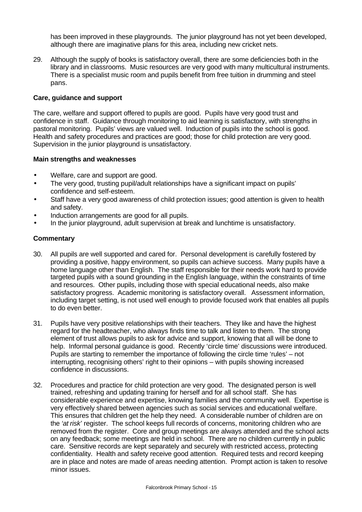has been improved in these playgrounds. The junior playground has not yet been developed, although there are imaginative plans for this area, including new cricket nets.

29. Although the supply of books is satisfactory overall, there are some deficiencies both in the library and in classrooms. Music resources are very good with many multicultural instruments. There is a specialist music room and pupils benefit from free tuition in drumming and steel pans.

## **Care, guidance and support**

The care, welfare and support offered to pupils are good. Pupils have very good trust and confidence in staff. Guidance through monitoring to aid learning is satisfactory, with strengths in pastoral monitoring. Pupils' views are valued well. Induction of pupils into the school is good. Health and safety procedures and practices are good; those for child protection are very good. Supervision in the junior playground is unsatisfactory.

## **Main strengths and weaknesses**

- Welfare, care and support are good.
- The very good, trusting pupil/adult relationships have a significant impact on pupils' confidence and self-esteem.
- Staff have a very good awareness of child protection issues; good attention is given to health and safety.
- Induction arrangements are good for all pupils.
- In the junior playground, adult supervision at break and lunchtime is unsatisfactory.

- 30. All pupils are well supported and cared for. Personal development is carefully fostered by providing a positive, happy environment, so pupils can achieve success. Many pupils have a home language other than English. The staff responsible for their needs work hard to provide targeted pupils with a sound grounding in the English language, within the constraints of time and resources. Other pupils, including those with special educational needs, also make satisfactory progress. Academic monitoring is satisfactory overall. Assessment information, including target setting, is not used well enough to provide focused work that enables all pupils to do even better.
- 31. Pupils have very positive relationships with their teachers. They like and have the highest regard for the headteacher, who always finds time to talk and listen to them. The strong element of trust allows pupils to ask for advice and support, knowing that all will be done to help. Informal personal guidance is good. Recently 'circle time' discussions were introduced. Pupils are starting to remember the importance of following the circle time 'rules' – not interrupting, recognising others' right to their opinions – with pupils showing increased confidence in discussions.
- 32. Procedures and practice for child protection are very good. The designated person is well trained, refreshing and updating training for herself and for all school staff. She has considerable experience and expertise, knowing families and the community well. Expertise is very effectively shared between agencies such as social services and educational welfare. This ensures that children get the help they need. A considerable number of children are on the *'at risk'* register. The school keeps full records of concerns, monitoring children who are removed from the register. Core and group meetings are always attended and the school acts on any feedback; some meetings are held in school. There are no children currently in public care. Sensitive records are kept separately and securely with restricted access, protecting confidentiality. Health and safety receive good attention. Required tests and record keeping are in place and notes are made of areas needing attention. Prompt action is taken to resolve minor issues.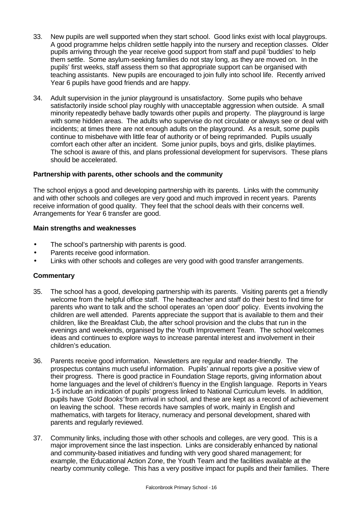- 33. New pupils are well supported when they start school. Good links exist with local playgroups. A good programme helps children settle happily into the nursery and reception classes. Older pupils arriving through the year receive good support from staff and pupil 'buddies' to help them settle. Some asylum-seeking families do not stay long, as they are moved on. In the pupils' first weeks, staff assess them so that appropriate support can be organised with teaching assistants. New pupils are encouraged to join fully into school life. Recently arrived Year 6 pupils have good friends and are happy.
- 34. Adult supervision in the junior playground is unsatisfactory. Some pupils who behave satisfactorily inside school play roughly with unacceptable aggression when outside. A small minority repeatedly behave badly towards other pupils and property. The playground is large with some hidden areas. The adults who supervise do not circulate or always see or deal with incidents; at times there are not enough adults on the playground. As a result, some pupils continue to misbehave with little fear of authority or of being reprimanded. Pupils usually comfort each other after an incident. Some junior pupils, boys and girls, dislike playtimes. The school is aware of this, and plans professional development for supervisors. These plans should be accelerated.

## **Partnership with parents, other schools and the community**

The school enjoys a good and developing partnership with its parents. Links with the community and with other schools and colleges are very good and much improved in recent years. Parents receive information of good quality. They feel that the school deals with their concerns well. Arrangements for Year 6 transfer are good.

## **Main strengths and weaknesses**

- The school's partnership with parents is good.
- Parents receive good information.
- Links with other schools and colleges are very good with good transfer arrangements.

- 35. The school has a good, developing partnership with its parents. Visiting parents get a friendly welcome from the helpful office staff. The headteacher and staff do their best to find time for parents who want to talk and the school operates an 'open door' policy. Events involving the children are well attended. Parents appreciate the support that is available to them and their children, like the Breakfast Club, the after school provision and the clubs that run in the evenings and weekends, organised by the Youth Improvement Team. The school welcomes ideas and continues to explore ways to increase parental interest and involvement in their children's education.
- 36. Parents receive good information. Newsletters are regular and reader-friendly. The prospectus contains much useful information. Pupils' annual reports give a positive view of their progress. There is good practice in Foundation Stage reports, giving information about home languages and the level of children's fluency in the English language. Reports in Years 1-5 include an indication of pupils' progress linked to National Curriculum levels. In addition, pupils have *'Gold Books'* from arrival in school, and these are kept as a record of achievement on leaving the school. These records have samples of work, mainly in English and mathematics, with targets for literacy, numeracy and personal development, shared with parents and regularly reviewed.
- 37. Community links, including those with other schools and colleges, are very good. This is a major improvement since the last inspection. Links are considerably enhanced by national and community-based initiatives and funding with very good shared management; for example, the Educational Action Zone, the Youth Team and the facilities available at the nearby community college. This has a very positive impact for pupils and their families. There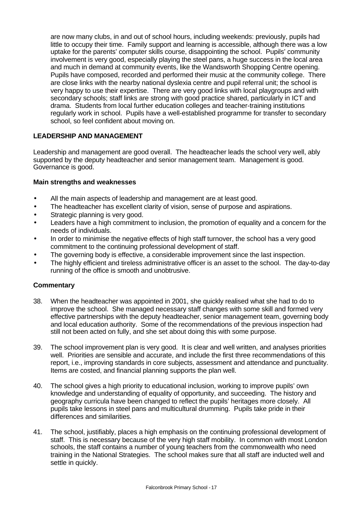are now many clubs, in and out of school hours, including weekends: previously, pupils had little to occupy their time. Family support and learning is accessible, although there was a low uptake for the parents' computer skills course, disappointing the school. Pupils' community involvement is very good, especially playing the steel pans, a huge success in the local area and much in demand at community events, like the Wandsworth Shopping Centre opening. Pupils have composed, recorded and performed their music at the community college. There are close links with the nearby national dyslexia centre and pupil referral unit; the school is very happy to use their expertise. There are very good links with local playgroups and with secondary schools; staff links are strong with good practice shared, particularly in ICT and drama. Students from local further education colleges and teacher-training institutions regularly work in school. Pupils have a well-established programme for transfer to secondary school, so feel confident about moving on.

## **LEADERSHIP AND MANAGEMENT**

Leadership and management are good overall. The headteacher leads the school very well, ably supported by the deputy headteacher and senior management team. Management is good. Governance is good.

## **Main strengths and weaknesses**

- All the main aspects of leadership and management are at least good.
- The headteacher has excellent clarity of vision, sense of purpose and aspirations.
- Strategic planning is very good.
- Leaders have a high commitment to inclusion, the promotion of equality and a concern for the needs of individuals.
- In order to minimise the negative effects of high staff turnover, the school has a very good commitment to the continuing professional development of staff.
- The governing body is effective, a considerable improvement since the last inspection.
- The highly efficient and tireless administrative officer is an asset to the school. The day-to-day running of the office is smooth and unobtrusive.

- 38. When the headteacher was appointed in 2001, she quickly realised what she had to do to improve the school. She managed necessary staff changes with some skill and formed very effective partnerships with the deputy headteacher, senior management team, governing body and local education authority. Some of the recommendations of the previous inspection had still not been acted on fully, and she set about doing this with some purpose.
- 39. The school improvement plan is very good. It is clear and well written, and analyses priorities well. Priorities are sensible and accurate, and include the first three recommendations of this report, i.e., improving standards in core subjects, assessment and attendance and punctuality. Items are costed, and financial planning supports the plan well.
- 40. The school gives a high priority to educational inclusion, working to improve pupils' own knowledge and understanding of equality of opportunity, and succeeding. The history and geography curricula have been changed to reflect the pupils' heritages more closely. All pupils take lessons in steel pans and multicultural drumming. Pupils take pride in their differences and similarities.
- 41. The school, justifiably, places a high emphasis on the continuing professional development of staff. This is necessary because of the very high staff mobility. In common with most London schools, the staff contains a number of young teachers from the commonwealth who need training in the National Strategies. The school makes sure that all staff are inducted well and settle in quickly.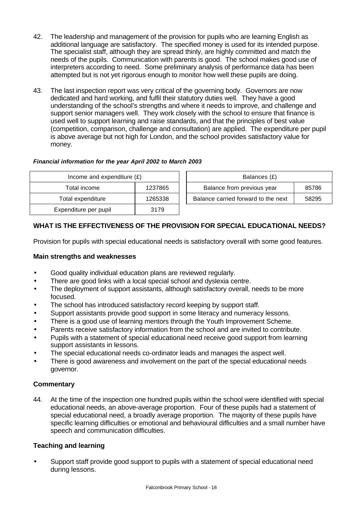- 42. The leadership and management of the provision for pupils who are learning English as additional language are satisfactory. The specified money is used for its intended purpose. The specialist staff, although they are spread thinly, are highly committed and match the needs of the pupils. Communication with parents is good. The school makes good use of interpreters according to need. Some preliminary analysis of performance data has been attempted but is not yet rigorous enough to monitor how well these pupils are doing.
- 43. The last inspection report was very critical of the governing body. Governors are now dedicated and hard working, and fulfil their statutory duties well. They have a good understanding of the school's strengths and where it needs to improve, and challenge and support senior managers well. They work closely with the school to ensure that finance is used well to support learning and raise standards, and that the principles of best value (competition, comparison, challenge and consultation) are applied. The expenditure per pupil is above average but not high for London, and the school provides satisfactory value for money.

## *Financial information for the year April 2002 to March 2003*

| Income and expenditure $(E)$ |         | Balances (£)                        |       |
|------------------------------|---------|-------------------------------------|-------|
| Total income                 | 1237865 | Balance from previous year          | 85786 |
| Total expenditure            | 1265338 | Balance carried forward to the next | 58295 |
| Expenditure per pupil        | 3179    |                                     |       |

## **WHAT IS THE EFFECTIVENESS OF THE PROVISION FOR SPECIAL EDUCATIONAL NEEDS?**

Provision for pupils with special educational needs is satisfactory overall with some good features.

## **Main strengths and weaknesses**

- Good quality individual education plans are reviewed regularly.
- There are good links with a local special school and dyslexia centre.
- The deployment of support assistants, although satisfactory overall, needs to be more focused.
- The school has introduced satisfactory record keeping by support staff.
- Support assistants provide good support in some literacy and numeracy lessons.
- There is a good use of learning mentors through the Youth Improvement Scheme.
- Parents receive satisfactory information from the school and are invited to contribute.
- Pupils with a statement of special educational need receive good support from learning support assistants in lessons.
- The special educational needs co-ordinator leads and manages the aspect well.
- There is good awareness and involvement on the part of the special educational needs governor.

## **Commentary**

44. At the time of the inspection one hundred pupils within the school were identified with special educational needs, an above-average proportion. Four of these pupils had a statement of special educational need, a broadly average proportion. The majority of these pupils have specific learning difficulties or emotional and behavioural difficulties and a small number have speech and communication difficulties.

## **Teaching and learning**

• Support staff provide good support to pupils with a statement of special educational need during lessons.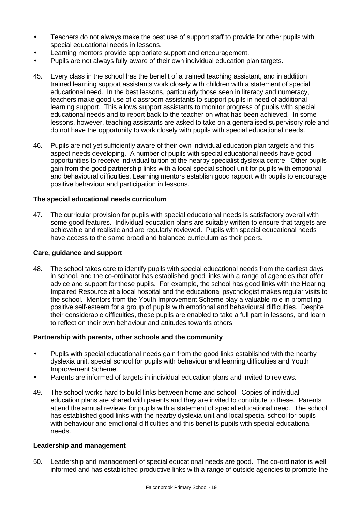- Teachers do not always make the best use of support staff to provide for other pupils with special educational needs in lessons.
- Learning mentors provide appropriate support and encouragement.
- Pupils are not always fully aware of their own individual education plan targets.
- 45. Every class in the school has the benefit of a trained teaching assistant, and in addition trained learning support assistants work closely with children with a statement of special educational need. In the best lessons, particularly those seen in literacy and numeracy, teachers make good use of classroom assistants to support pupils in need of additional learning support. This allows support assistants to monitor progress of pupils with special educational needs and to report back to the teacher on what has been achieved. In some lessons, however, teaching assistants are asked to take on a generalised supervisory role and do not have the opportunity to work closely with pupils with special educational needs.
- 46. Pupils are not yet sufficiently aware of their own individual education plan targets and this aspect needs developing. A number of pupils with special educational needs have good opportunities to receive individual tuition at the nearby specialist dyslexia centre. Other pupils gain from the good partnership links with a local special school unit for pupils with emotional and behavioural difficulties. Learning mentors establish good rapport with pupils to encourage positive behaviour and participation in lessons.

## **The special educational needs curriculum**

47. The curricular provision for pupils with special educational needs is satisfactory overall with some good features. Individual education plans are suitably written to ensure that targets are achievable and realistic and are regularly reviewed. Pupils with special educational needs have access to the same broad and balanced curriculum as their peers.

## **Care, guidance and support**

48. The school takes care to identify pupils with special educational needs from the earliest days in school, and the co-ordinator has established good links with a range of agencies that offer advice and support for these pupils. For example, the school has good links with the Hearing Impaired Resource at a local hospital and the educational psychologist makes regular visits to the school. Mentors from the Youth Improvement Scheme play a valuable role in promoting positive self-esteem for a group of pupils with emotional and behavioural difficulties. Despite their considerable difficulties, these pupils are enabled to take a full part in lessons, and learn to reflect on their own behaviour and attitudes towards others.

## **Partnership with parents, other schools and the community**

- Pupils with special educational needs gain from the good links established with the nearby dyslexia unit, special school for pupils with behaviour and learning difficulties and Youth Improvement Scheme.
- Parents are informed of targets in individual education plans and invited to reviews.
- 49. The school works hard to build links between home and school. Copies of individual education plans are shared with parents and they are invited to contribute to these. Parents attend the annual reviews for pupils with a statement of special educational need. The school has established good links with the nearby dyslexia unit and local special school for pupils with behaviour and emotional difficulties and this benefits pupils with special educational needs.

#### **Leadership and management**

50. Leadership and management of special educational needs are good.The co-ordinator is well informed and has established productive links with a range of outside agencies to promote the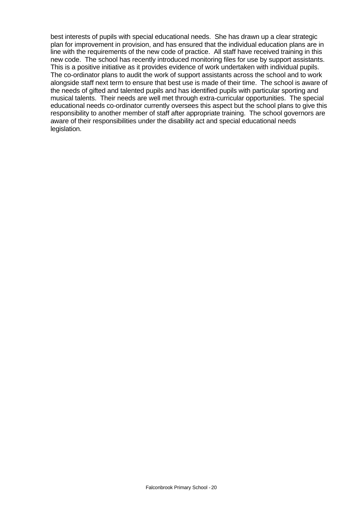best interests of pupils with special educational needs. She has drawn up a clear strategic plan for improvement in provision, and has ensured that the individual education plans are in line with the requirements of the new code of practice. All staff have received training in this new code. The school has recently introduced monitoring files for use by support assistants. This is a positive initiative as it provides evidence of work undertaken with individual pupils. The co-ordinator plans to audit the work of support assistants across the school and to work alongside staff next term to ensure that best use is made of their time. The school is aware of the needs of gifted and talented pupils and has identified pupils with particular sporting and musical talents. Their needs are well met through extra-curricular opportunities. The special educational needs co-ordinator currently oversees this aspect but the school plans to give this responsibility to another member of staff after appropriate training. The school governors are aware of their responsibilities under the disability act and special educational needs legislation.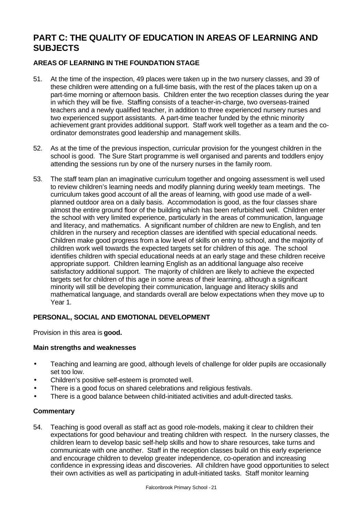# **PART C: THE QUALITY OF EDUCATION IN AREAS OF LEARNING AND SUBJECTS**

## **AREAS OF LEARNING IN THE FOUNDATION STAGE**

- 51. At the time of the inspection, 49 places were taken up in the two nursery classes, and 39 of these children were attending on a full-time basis, with the rest of the places taken up on a part-time morning or afternoon basis. Children enter the two reception classes during the year in which they will be five. Staffing consists of a teacher-in-charge, two overseas-trained teachers and a newly qualified teacher, in addition to three experienced nursery nurses and two experienced support assistants. A part-time teacher funded by the ethnic minority achievement grant provides additional support. Staff work well together as a team and the coordinator demonstrates good leadership and management skills.
- 52. As at the time of the previous inspection, curricular provision for the youngest children in the school is good. The Sure Start programme is well organised and parents and toddlers enjoy attending the sessions run by one of the nursery nurses in the family room.
- 53. The staff team plan an imaginative curriculum together and ongoing assessment is well used to review children's learning needs and modify planning during weekly team meetings. The curriculum takes good account of all the areas of learning, with good use made of a wellplanned outdoor area on a daily basis. Accommodation is good, as the four classes share almost the entire ground floor of the building which has been refurbished well. Children enter the school with very limited experience, particularly in the areas of communication, language and literacy, and mathematics. A significant number of children are new to English, and ten children in the nursery and reception classes are identified with special educational needs. Children make good progress from a low level of skills on entry to school, and the majority of children work well towards the expected targets set for children of this age. The school identifies children with special educational needs at an early stage and these children receive appropriate support. Children learning English as an additional language also receive satisfactory additional support. The majority of children are likely to achieve the expected targets set for children of this age in some areas of their learning, although a significant minority will still be developing their communication, language and literacy skills and mathematical language, and standards overall are below expectations when they move up to Year 1.

## **PERSONAL, SOCIAL AND EMOTIONAL DEVELOPMENT**

Provision in this area is **good.**

## **Main strengths and weaknesses**

- Teaching and learning are good, although levels of challenge for older pupils are occasionally set too low.
- Children's positive self-esteem is promoted well.
- There is a good focus on shared celebrations and religious festivals.
- There is a good balance between child-initiated activities and adult-directed tasks.

## **Commentary**

54. Teaching is good overall as staff act as good role-models, making it clear to children their expectations for good behaviour and treating children with respect. In the nursery classes, the children learn to develop basic self-help skills and how to share resources, take turns and communicate with one another. Staff in the reception classes build on this early experience and encourage children to develop greater independence, co-operation and increasing confidence in expressing ideas and discoveries. All children have good opportunities to select their own activities as well as participating in adult-initiated tasks. Staff monitor learning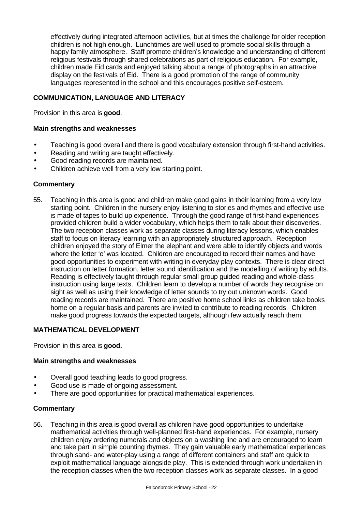effectively during integrated afternoon activities, but at times the challenge for older reception children is not high enough. Lunchtimes are well used to promote social skills through a happy family atmosphere. Staff promote children's knowledge and understanding of different religious festivals through shared celebrations as part of religious education. For example, children made Eid cards and enjoyed talking about a range of photographs in an attractive display on the festivals of Eid. There is a good promotion of the range of community languages represented in the school and this encourages positive self-esteem.

## **COMMUNICATION, LANGUAGE AND LITERACY**

Provision in this area is **good**.

## **Main strengths and weaknesses**

- Teaching is good overall and there is good vocabulary extension through first-hand activities.
- Reading and writing are taught effectively.
- Good reading records are maintained.
- Children achieve well from a very low starting point.

## **Commentary**

55. Teaching in this area is good and children make good gains in their learning from a very low starting point. Children in the nursery enjoy listening to stories and rhymes and effective use is made of tapes to build up experience. Through the good range of first-hand experiences provided children build a wider vocabulary, which helps them to talk about their discoveries. The two reception classes work as separate classes during literacy lessons, which enables staff to focus on literacy learning with an appropriately structured approach. Reception children enjoyed the story of Elmer the elephant and were able to identify objects and words where the letter 'e' was located. Children are encouraged to record their names and have good opportunities to experiment with writing in everyday play contexts. There is clear direct instruction on letter formation, letter sound identification and the modelling of writing by adults. Reading is effectively taught through regular small group guided reading and whole-class instruction using large texts. Children learn to develop a number of words they recognise on sight as well as using their knowledge of letter sounds to try out unknown words. Good reading records are maintained. There are positive home school links as children take books home on a regular basis and parents are invited to contribute to reading records. Children make good progress towards the expected targets, although few actually reach them.

## **MATHEMATICAL DEVELOPMENT**

Provision in this area is **good.**

#### **Main strengths and weaknesses**

- Overall good teaching leads to good progress.
- Good use is made of ongoing assessment.
- There are good opportunities for practical mathematical experiences.

#### **Commentary**

56. Teaching in this area is good overall as children have good opportunities to undertake mathematical activities through well-planned first-hand experiences. For example, nursery children enjoy ordering numerals and objects on a washing line and are encouraged to learn and take part in simple counting rhymes. They gain valuable early mathematical experiences through sand- and water-play using a range of different containers and staff are quick to exploit mathematical language alongside play. This is extended through work undertaken in the reception classes when the two reception classes work as separate classes. In a good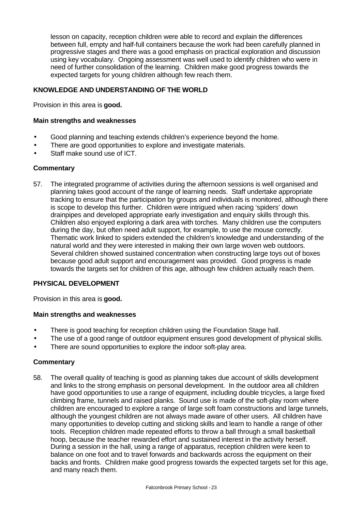lesson on capacity, reception children were able to record and explain the differences between full, empty and half-full containers because the work had been carefully planned in progressive stages and there was a good emphasis on practical exploration and discussion using key vocabulary. Ongoing assessment was well used to identify children who were in need of further consolidation of the learning. Children make good progress towards the expected targets for young children although few reach them.

## **KNOWLEDGE AND UNDERSTANDING OF THE WORLD**

Provision in this area is **good.**

## **Main strengths and weaknesses**

- Good planning and teaching extends children's experience beyond the home.
- There are good opportunities to explore and investigate materials.
- Staff make sound use of ICT.

## **Commentary**

57. The integrated programme of activities during the afternoon sessions is well organised and planning takes good account of the range of learning needs. Staff undertake appropriate tracking to ensure that the participation by groups and individuals is monitored, although there is scope to develop this further. Children were intrigued when racing 'spiders' down drainpipes and developed appropriate early investigation and enquiry skills through this. Children also enjoyed exploring a dark area with torches. Many children use the computers during the day, but often need adult support, for example, to use the mouse correctly. Thematic work linked to spiders extended the children's knowledge and understanding of the natural world and they were interested in making their own large woven web outdoors. Several children showed sustained concentration when constructing large toys out of boxes because good adult support and encouragement was provided. Good progress is made towards the targets set for children of this age, although few children actually reach them.

## **PHYSICAL DEVELOPMENT**

Provision in this area is **good.**

#### **Main strengths and weaknesses**

- There is good teaching for reception children using the Foundation Stage hall.
- The use of a good range of outdoor equipment ensures good development of physical skills.
- There are sound opportunities to explore the indoor soft-play area.

#### **Commentary**

58. The overall quality of teaching is good as planning takes due account of skills development and links to the strong emphasis on personal development. In the outdoor area all children have good opportunities to use a range of equipment, including double tricycles, a large fixed climbing frame, tunnels and raised planks. Sound use is made of the soft-play room where children are encouraged to explore a range of large soft foam constructions and large tunnels, although the youngest children are not always made aware of other users. All children have many opportunities to develop cutting and sticking skills and learn to handle a range of other tools. Reception children made repeated efforts to throw a ball through a small basketball hoop, because the teacher rewarded effort and sustained interest in the activity herself. During a session in the hall, using a range of apparatus, reception children were keen to balance on one foot and to travel forwards and backwards across the equipment on their backs and fronts. Children make good progress towards the expected targets set for this age, and many reach them.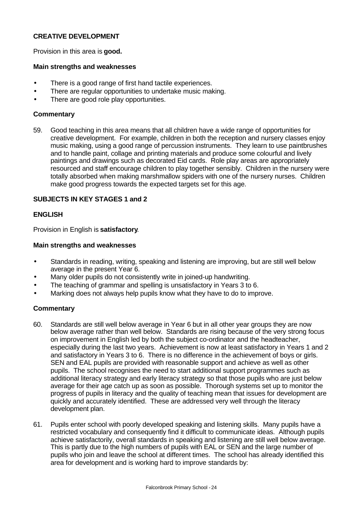## **CREATIVE DEVELOPMENT**

Provision in this area is **good.**

## **Main strengths and weaknesses**

- There is a good range of first hand tactile experiences.
- There are regular opportunities to undertake music making.
- There are good role play opportunities.

## **Commentary**

59. Good teaching in this area means that all children have a wide range of opportunities for creative development. For example, children in both the reception and nursery classes enjoy music making, using a good range of percussion instruments. They learn to use paintbrushes and to handle paint, collage and printing materials and produce some colourful and lively paintings and drawings such as decorated Eid cards. Role play areas are appropriately resourced and staff encourage children to play together sensibly. Children in the nursery were totally absorbed when making marshmallow spiders with one of the nursery nurses. Children make good progress towards the expected targets set for this age.

## **SUBJECTS IN KEY STAGES 1 and 2**

## **ENGLISH**

Provision in English is **satisfactory**.

## **Main strengths and weaknesses**

- Standards in reading, writing, speaking and listening are improving, but are still well below average in the present Year 6.
- Many older pupils do not consistently write in joined-up handwriting.
- The teaching of grammar and spelling is unsatisfactory in Years 3 to 6.
- Marking does not always help pupils know what they have to do to improve.

- 60. Standards are still well below average in Year 6 but in all other year groups they are now below average rather than well below. Standards are rising because of the very strong focus on improvement in English led by both the subject co-ordinator and the headteacher, especially during the last two years. Achievement is now at least satisfactory in Years 1 and 2 and satisfactory in Years 3 to 6. There is no difference in the achievement of boys or girls. SEN and EAL pupils are provided with reasonable support and achieve as well as other pupils. The school recognises the need to start additional support programmes such as additional literacy strategy and early literacy strategy so that those pupils who are just below average for their age catch up as soon as possible. Thorough systems set up to monitor the progress of pupils in literacy and the quality of teaching mean that issues for development are quickly and accurately identified. These are addressed very well through the literacy development plan.
- 61. Pupils enter school with poorly developed speaking and listening skills. Many pupils have a restricted vocabulary and consequently find it difficult to communicate ideas. Although pupils achieve satisfactorily, overall standards in speaking and listening are still well below average. This is partly due to the high numbers of pupils with EAL or SEN and the large number of pupils who join and leave the school at different times. The school has already identified this area for development and is working hard to improve standards by: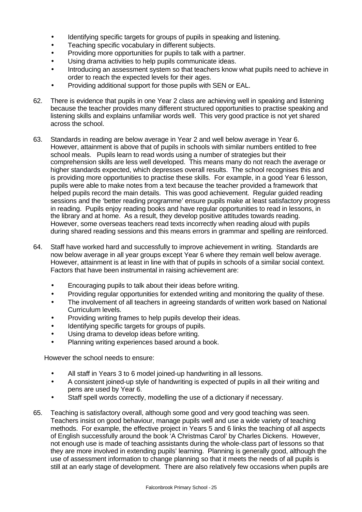- Identifying specific targets for groups of pupils in speaking and listening.
- Teaching specific vocabulary in different subjects.
- Providing more opportunities for pupils to talk with a partner.
- Using drama activities to help pupils communicate ideas.
- Introducing an assessment system so that teachers know what pupils need to achieve in order to reach the expected levels for their ages.
- Providing additional support for those pupils with SEN or EAL.
- 62. There is evidence that pupils in one Year 2 class are achieving well in speaking and listening because the teacher provides many different structured opportunities to practise speaking and listening skills and explains unfamiliar words well. This very good practice is not yet shared across the school.
- 63. Standards in reading are below average in Year 2 and well below average in Year 6. However, attainment is above that of pupils in schools with similar numbers entitled to free school meals. Pupils learn to read words using a number of strategies but their comprehension skills are less well developed. This means many do not reach the average or higher standards expected, which depresses overall results. The school recognises this and is providing more opportunities to practise these skills. For example, in a good Year 6 lesson, pupils were able to make notes from a text because the teacher provided a framework that helped pupils record the main details. This was good achievement. Regular guided reading sessions and the 'better reading programme' ensure pupils make at least satisfactory progress in reading. Pupils enjoy reading books and have regular opportunities to read in lessons, in the library and at home. As a result, they develop positive attitudes towards reading. However, some overseas teachers read texts incorrectly when reading aloud with pupils during shared reading sessions and this means errors in grammar and spelling are reinforced.
- 64. Staff have worked hard and successfully to improve achievement in writing. Standards are now below average in all year groups except Year 6 where they remain well below average. However, attainment is at least in line with that of pupils in schools of a similar social context. Factors that have been instrumental in raising achievement are:
	- Encouraging pupils to talk about their ideas before writing.
	- Providing regular opportunities for extended writing and monitoring the quality of these.
	- The involvement of all teachers in agreeing standards of written work based on National Curriculum levels.
	- Providing writing frames to help pupils develop their ideas.
	- Identifying specific targets for groups of pupils.
	- Using drama to develop ideas before writing.
	- Planning writing experiences based around a book.

However the school needs to ensure:

- All staff in Years 3 to 6 model joined-up handwriting in all lessons.
- A consistent joined-up style of handwriting is expected of pupils in all their writing and pens are used by Year 6.
- Staff spell words correctly, modelling the use of a dictionary if necessary.
- 65. Teaching is satisfactory overall, although some good and very good teaching was seen. Teachers insist on good behaviour, manage pupils well and use a wide variety of teaching methods. For example, the effective project in Years 5 and 6 links the teaching of all aspects of English successfully around the book 'A Christmas Carol' by Charles Dickens. However, not enough use is made of teaching assistants during the whole-class part of lessons so that they are more involved in extending pupils' learning. Planning is generally good, although the use of assessment information to change planning so that it meets the needs of all pupils is still at an early stage of development. There are also relatively few occasions when pupils are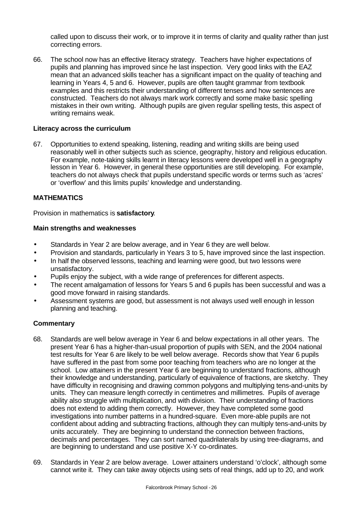called upon to discuss their work, or to improve it in terms of clarity and quality rather than just correcting errors.

66. The school now has an effective literacy strategy. Teachers have higher expectations of pupils and planning has improved since he last inspection. Very good links with the EAZ mean that an advanced skills teacher has a significant impact on the quality of teaching and learning in Years 4, 5 and 6. However, pupils are often taught grammar from textbook examples and this restricts their understanding of different tenses and how sentences are constructed. Teachers do not always mark work correctly and some make basic spelling mistakes in their own writing. Although pupils are given regular spelling tests, this aspect of writing remains weak.

## **Literacy across the curriculum**

67. Opportunities to extend speaking, listening, reading and writing skills are being used reasonably well in other subjects such as science, geography, history and religious education. For example, note-taking skills learnt in literacy lessons were developed well in a geography lesson in Year 6. However, in general these opportunities are still developing. For example, teachers do not always check that pupils understand specific words or terms such as 'acres' or 'overflow' and this limits pupils' knowledge and understanding.

## **MATHEMATICS**

Provision in mathematics is **satisfactory**.

## **Main strengths and weaknesses**

- Standards in Year 2 are below average, and in Year 6 they are well below.
- Provision and standards, particularly in Years 3 to 5, have improved since the last inspection.
- In half the observed lessons, teaching and learning were good, but two lessons were unsatisfactory.
- Pupils enjoy the subject, with a wide range of preferences for different aspects.
- The recent amalgamation of lessons for Years 5 and 6 pupils has been successful and was a good move forward in raising standards.
- Assessment systems are good, but assessment is not always used well enough in lesson planning and teaching.

- 68. Standards are well below average in Year 6 and below expectations in all other years. The present Year 6 has a higher-than-usual proportion of pupils with SEN, and the 2004 national test results for Year 6 are likely to be well below average. Records show that Year 6 pupils have suffered in the past from some poor teaching from teachers who are no longer at the school. Low attainers in the present Year 6 are beginning to understand fractions, although their knowledge and understanding, particularly of equivalence of fractions, are sketchy. They have difficulty in recognising and drawing common polygons and multiplying tens-and-units by units. They can measure length correctly in centimetres and millimetres. Pupils of average ability also struggle with multiplication, and with division. Their understanding of fractions does not extend to adding them correctly. However, they have completed some good investigations into number patterns in a hundred-square. Even more-able pupils are not confident about adding and subtracting fractions, although they can multiply tens-and-units by units accurately. They are beginning to understand the connection between fractions, decimals and percentages. They can sort named quadrilaterals by using tree-diagrams, and are beginning to understand and use positive X-Y co-ordinates.
- 69. Standards in Year 2 are below average. Lower attainers understand 'o'clock', although some cannot write it. They can take away objects using sets of real things, add up to 20, and work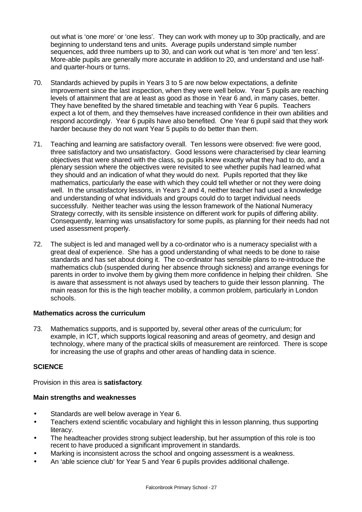out what is 'one more' or 'one less'. They can work with money up to 30p practically, and are beginning to understand tens and units. Average pupils understand simple number sequences, add three numbers up to 30, and can work out what is 'ten more' and 'ten less'. More-able pupils are generally more accurate in addition to 20, and understand and use halfand quarter-hours or turns.

- 70. Standards achieved by pupils in Years 3 to 5 are now below expectations, a definite improvement since the last inspection, when they were well below. Year 5 pupils are reaching levels of attainment that are at least as good as those in Year 6 and, in many cases, better. They have benefited by the shared timetable and teaching with Year 6 pupils. Teachers expect a lot of them, and they themselves have increased confidence in their own abilities and respond accordingly. Year 6 pupils have also benefited. One Year 6 pupil said that they work harder because they do not want Year 5 pupils to do better than them.
- 71. Teaching and learning are satisfactory overall. Ten lessons were observed: five were good, three satisfactory and two unsatisfactory. Good lessons were characterised by clear learning objectives that were shared with the class, so pupils knew exactly what they had to do, and a plenary session where the objectives were revisited to see whether pupils had learned what they should and an indication of what they would do next. Pupils reported that they like mathematics, particularly the ease with which they could tell whether or not they were doing well. In the unsatisfactory lessons, in Years 2 and 4, neither teacher had used a knowledge and understanding of what individuals and groups could do to target individual needs successfully. Neither teacher was using the lesson framework of the National Numeracy Strategy correctly, with its sensible insistence on different work for pupils of differing ability. Consequently, learning was unsatisfactory for some pupils, as planning for their needs had not used assessment properly.
- 72. The subject is led and managed well by a co-ordinator who is a numeracy specialist with a great deal of experience. She has a good understanding of what needs to be done to raise standards and has set about doing it. The co-ordinator has sensible plans to re-introduce the mathematics club (suspended during her absence through sickness) and arrange evenings for parents in order to involve them by giving them more confidence in helping their children. She is aware that assessment is not always used by teachers to guide their lesson planning. The main reason for this is the high teacher mobility, a common problem, particularly in London schools.

## **Mathematics across the curriculum**

73. Mathematics supports, and is supported by, several other areas of the curriculum; for example, in ICT, which supports logical reasoning and areas of geometry, and design and technology, where many of the practical skills of measurement are reinforced. There is scope for increasing the use of graphs and other areas of handling data in science.

## **SCIENCE**

Provision in this area is **satisfactory**.

## **Main strengths and weaknesses**

- Standards are well below average in Year 6.
- Teachers extend scientific vocabulary and highlight this in lesson planning, thus supporting literacy.
- The headteacher provides strong subject leadership, but her assumption of this role is too recent to have produced a significant improvement in standards.
- Marking is inconsistent across the school and ongoing assessment is a weakness.
- An 'able science club' for Year 5 and Year 6 pupils provides additional challenge.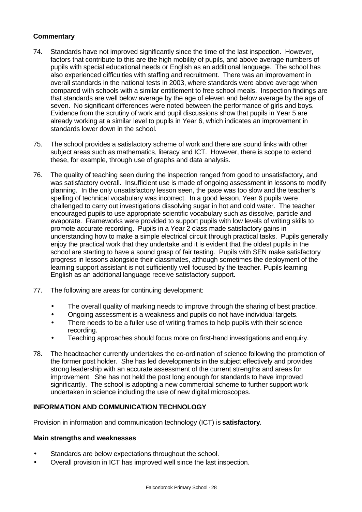## **Commentary**

- 74. Standards have not improved significantly since the time of the last inspection. However, factors that contribute to this are the high mobility of pupils, and above average numbers of pupils with special educational needs or English as an additional language. The school has also experienced difficulties with staffing and recruitment. There was an improvement in overall standards in the national tests in 2003, where standards were above average when compared with schools with a similar entitlement to free school meals. Inspection findings are that standards are well below average by the age of eleven and below average by the age of seven. No significant differences were noted between the performance of girls and boys. Evidence from the scrutiny of work and pupil discussions show that pupils in Year 5 are already working at a similar level to pupils in Year 6, which indicates an improvement in standards lower down in the school.
- 75. The school provides a satisfactory scheme of work and there are sound links with other subject areas such as mathematics, literacy and ICT. However, there is scope to extend these, for example, through use of graphs and data analysis.
- 76. The quality of teaching seen during the inspection ranged from good to unsatisfactory, and was satisfactory overall. Insufficient use is made of ongoing assessment in lessons to modify planning. In the only unsatisfactory lesson seen, the pace was too slow and the teacher's spelling of technical vocabulary was incorrect. In a good lesson, Year 6 pupils were challenged to carry out investigations dissolving sugar in hot and cold water. The teacher encouraged pupils to use appropriate scientific vocabulary such as dissolve, particle and evaporate. Frameworks were provided to support pupils with low levels of writing skills to promote accurate recording. Pupils in a Year 2 class made satisfactory gains in understanding how to make a simple electrical circuit through practical tasks. Pupils generally enjoy the practical work that they undertake and it is evident that the oldest pupils in the school are starting to have a sound grasp of fair testing. Pupils with SEN make satisfactory progress in lessons alongside their classmates, although sometimes the deployment of the learning support assistant is not sufficiently well focused by the teacher. Pupils learning English as an additional language receive satisfactory support.
- 77. The following are areas for continuing development:
	- The overall quality of marking needs to improve through the sharing of best practice.
	- Ongoing assessment is a weakness and pupils do not have individual targets.
	- There needs to be a fuller use of writing frames to help pupils with their science recording.
	- Teaching approaches should focus more on first-hand investigations and enquiry.
- 78. The headteacher currently undertakes the co-ordination of science following the promotion of the former post holder. She has led developments in the subject effectively and provides strong leadership with an accurate assessment of the current strengths and areas for improvement. She has not held the post long enough for standards to have improved significantly. The school is adopting a new commercial scheme to further support work undertaken in science including the use of new digital microscopes.

#### **INFORMATION AND COMMUNICATION TECHNOLOGY**

Provision in information and communication technology (ICT) is **satisfactory**.

#### **Main strengths and weaknesses**

- Standards are below expectations throughout the school.
- Overall provision in ICT has improved well since the last inspection.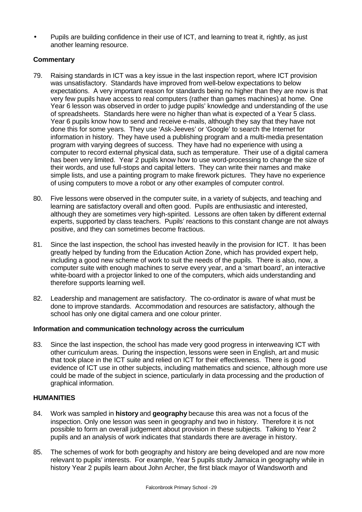• Pupils are building confidence in their use of ICT, and learning to treat it, rightly, as just another learning resource.

## **Commentary**

- 79. Raising standards in ICT was a key issue in the last inspection report, where ICT provision was unsatisfactory. Standards have improved from well-below expectations to below expectations. A very important reason for standards being no higher than they are now is that very few pupils have access to real computers (rather than games machines) at home. One Year 6 lesson was observed in order to judge pupils' knowledge and understanding of the use of spreadsheets. Standards here were no higher than what is expected of a Year 5 class. Year 6 pupils know how to send and receive e-mails, although they say that they have not done this for some years. They use 'Ask-Jeeves' or 'Google' to search the Internet for information in history. They have used a publishing program and a multi-media presentation program with varying degrees of success. They have had no experience with using a computer to record external physical data, such as temperature. Their use of a digital camera has been very limited. Year 2 pupils know how to use word-processing to change the size of their words, and use full-stops and capital letters. They can write their names and make simple lists, and use a painting program to make firework pictures. They have no experience of using computers to move a robot or any other examples of computer control.
- 80. Five lessons were observed in the computer suite, in a variety of subjects, and teaching and learning are satisfactory overall and often good. Pupils are enthusiastic and interested, although they are sometimes very high-spirited. Lessons are often taken by different external experts, supported by class teachers. Pupils' reactions to this constant change are not always positive, and they can sometimes become fractious.
- 81. Since the last inspection, the school has invested heavily in the provision for ICT. It has been greatly helped by funding from the Education Action Zone, which has provided expert help, including a good new scheme of work to suit the needs of the pupils. There is also, now, a computer suite with enough machines to serve every year, and a 'smart board', an interactive white-board with a projector linked to one of the computers, which aids understanding and therefore supports learning well.
- 82. Leadership and management are satisfactory. The co-ordinator is aware of what must be done to improve standards. Accommodation and resources are satisfactory, although the school has only one digital camera and one colour printer.

## **Information and communication technology across the curriculum**

83. Since the last inspection, the school has made very good progress in interweaving ICT with other curriculum areas. During the inspection, lessons were seen in English, art and music that took place in the ICT suite and relied on ICT for their effectiveness. There is good evidence of ICT use in other subjects, including mathematics and science, although more use could be made of the subject in science, particularly in data processing and the production of graphical information.

## **HUMANITIES**

- 84. Work was sampled in **history** and **geography** because this area was not a focus of the inspection. Only one lesson was seen in geography and two in history. Therefore it is not possible to form an overall judgement about provision in these subjects. Talking to Year 2 pupils and an analysis of work indicates that standards there are average in history.
- 85. The schemes of work for both geography and history are being developed and are now more relevant to pupils' interests. For example, Year 5 pupils study Jamaica in geography while in history Year 2 pupils learn about John Archer, the first black mayor of Wandsworth and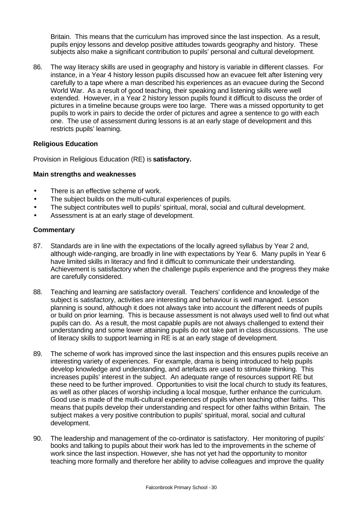Britain. This means that the curriculum has improved since the last inspection. As a result, pupils enjoy lessons and develop positive attitudes towards geography and history. These subjects also make a significant contribution to pupils' personal and cultural development.

86. The way literacy skills are used in geography and history is variable in different classes. For instance, in a Year 4 history lesson pupils discussed how an evacuee felt after listening very carefully to a tape where a man described his experiences as an evacuee during the Second World War. As a result of good teaching, their speaking and listening skills were well extended. However, in a Year 2 history lesson pupils found it difficult to discuss the order of pictures in a timeline because groups were too large. There was a missed opportunity to get pupils to work in pairs to decide the order of pictures and agree a sentence to go with each one. The use of assessment during lessons is at an early stage of development and this restricts pupils' learning.

## **Religious Education**

Provision in Religious Education (RE) is **satisfactory.**

#### **Main strengths and weaknesses**

- There is an effective scheme of work.
- The subject builds on the multi-cultural experiences of pupils.
- The subject contributes well to pupils' spiritual, moral, social and cultural development.
- Assessment is at an early stage of development.

- 87. Standards are in line with the expectations of the locally agreed syllabus by Year 2 and, although wide-ranging, are broadly in line with expectations by Year 6. Many pupils in Year 6 have limited skills in literacy and find it difficult to communicate their understanding. Achievement is satisfactory when the challenge pupils experience and the progress they make are carefully considered.
- 88. Teaching and learning are satisfactory overall. Teachers' confidence and knowledge of the subject is satisfactory, activities are interesting and behaviour is well managed. Lesson planning is sound, although it does not always take into account the different needs of pupils or build on prior learning. This is because assessment is not always used well to find out what pupils can do. As a result, the most capable pupils are not always challenged to extend their understanding and some lower attaining pupils do not take part in class discussions. The use of literacy skills to support learning in RE is at an early stage of development.
- 89. The scheme of work has improved since the last inspection and this ensures pupils receive an interesting variety of experiences. For example, drama is being introduced to help pupils develop knowledge and understanding, and artefacts are used to stimulate thinking. This increases pupils' interest in the subject. An adequate range of resources support RE but these need to be further improved. Opportunities to visit the local church to study its features, as well as other places of worship including a local mosque, further enhance the curriculum. Good use is made of the multi-cultural experiences of pupils when teaching other faiths. This means that pupils develop their understanding and respect for other faiths within Britain. The subject makes a very positive contribution to pupils' spiritual, moral, social and cultural development.
- 90. The leadership and management of the co-ordinator is satisfactory. Her monitoring of pupils' books and talking to pupils about their work has led to the improvements in the scheme of work since the last inspection. However, she has not yet had the opportunity to monitor teaching more formally and therefore her ability to advise colleagues and improve the quality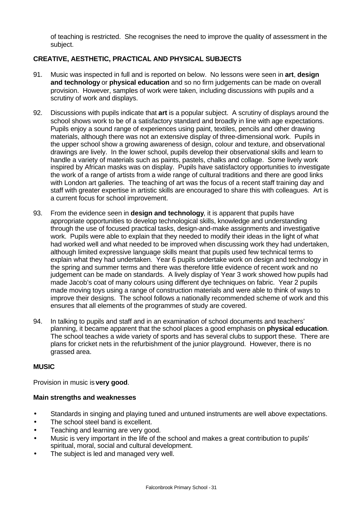of teaching is restricted. She recognises the need to improve the quality of assessment in the subject.

## **CREATIVE, AESTHETIC, PRACTICAL AND PHYSICAL SUBJECTS**

- 91. Music was inspected in full and is reported on below. No lessons were seen in **art**, **design and technology** or **physical education** and so no firm judgements can be made on overall provision. However, samples of work were taken, including discussions with pupils and a scrutiny of work and displays.
- 92. Discussions with pupils indicate that **art** is a popular subject. A scrutiny of displays around the school shows work to be of a satisfactory standard and broadly in line with age expectations. Pupils enjoy a sound range of experiences using paint, textiles, pencils and other drawing materials, although there was not an extensive display of three-dimensional work. Pupils in the upper school show a growing awareness of design, colour and texture, and observational drawings are lively. In the lower school, pupils develop their observational skills and learn to handle a variety of materials such as paints, pastels, chalks and collage. Some lively work inspired by African masks was on display. Pupils have satisfactory opportunities to investigate the work of a range of artists from a wide range of cultural traditions and there are good links with London art galleries. The teaching of art was the focus of a recent staff training day and staff with greater expertise in artistic skills are encouraged to share this with colleagues. Art is a current focus for school improvement.
- 93. From the evidence seen in **design and technology**, it is apparent that pupils have appropriate opportunities to develop technological skills, knowledge and understanding through the use of focused practical tasks, design-and-make assignments and investigative work. Pupils were able to explain that they needed to modify their ideas in the light of what had worked well and what needed to be improved when discussing work they had undertaken, although limited expressive language skills meant that pupils used few technical terms to explain what they had undertaken. Year 6 pupils undertake work on design and technology in the spring and summer terms and there was therefore little evidence of recent work and no judgement can be made on standards. A lively display of Year 3 work showed how pupils had made Jacob's coat of many colours using different dye techniques on fabric. Year 2 pupils made moving toys using a range of construction materials and were able to think of ways to improve their designs. The school follows a nationally recommended scheme of work and this ensures that all elements of the programmes of study are covered.
- 94. In talking to pupils and staff and in an examination of school documents and teachers' planning, it became apparent that the school places a good emphasis on **physical education**. The school teaches a wide variety of sports and has several clubs to support these. There are plans for cricket nets in the refurbishment of the junior playground. However, there is no grassed area.

## **MUSIC**

Provision in music is **very good**.

## **Main strengths and weaknesses**

- Standards in singing and playing tuned and untuned instruments are well above expectations.
- The school steel band is excellent.
- Teaching and learning are very good.
- Music is very important in the life of the school and makes a great contribution to pupils' spiritual, moral, social and cultural development.
- The subject is led and managed very well.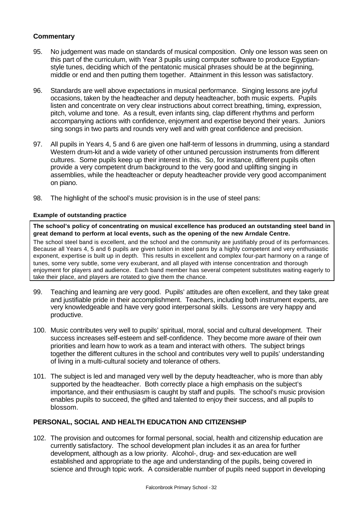## **Commentary**

- 95. No judgement was made on standards of musical composition. Only one lesson was seen on this part of the curriculum, with Year 3 pupils using computer software to produce Egyptianstyle tunes, deciding which of the pentatonic musical phrases should be at the beginning, middle or end and then putting them together. Attainment in this lesson was satisfactory.
- 96. Standards are well above expectations in musical performance. Singing lessons are joyful occasions, taken by the headteacher and deputy headteacher, both music experts. Pupils listen and concentrate on very clear instructions about correct breathing, timing, expression, pitch, volume and tone. As a result, even infants sing, clap different rhythms and perform accompanying actions with confidence, enjoyment and expertise beyond their years. Juniors sing songs in two parts and rounds very well and with great confidence and precision.
- 97. All pupils in Years 4, 5 and 6 are given one half-term of lessons in drumming, using a standard Western drum-kit and a wide variety of other untuned percussion instruments from different cultures. Some pupils keep up their interest in this. So, for instance, different pupils often provide a very competent drum background to the very good and uplifting singing in assemblies, while the headteacher or deputy headteacher provide very good accompaniment on piano.
- 98. The highlight of the school's music provision is in the use of steel pans:

## **Example of outstanding practice**

**The school's policy of concentrating on musical excellence has produced an outstanding steel band in great demand to perform at local events, such as the opening of the new Arndale Centre.**

The school steel band is excellent, and the school and the community are justifiably proud of its performances. Because all Years 4, 5 and 6 pupils are given tuition in steel pans by a highly competent and very enthusiastic exponent, expertise is built up in depth. This results in excellent and complex four-part harmony on a range of tunes, some very subtle, some very exuberant, and all played with intense concentration and thorough enjoyment for players and audience. Each band member has several competent substitutes waiting eagerly to take their place, and players are rotated to give them the chance.

- 99. Teaching and learning are very good. Pupils' attitudes are often excellent, and they take great and justifiable pride in their accomplishment. Teachers, including both instrument experts, are very knowledgeable and have very good interpersonal skills. Lessons are very happy and productive.
- 100. Music contributes very well to pupils' spiritual, moral, social and cultural development. Their success increases self-esteem and self-confidence. They become more aware of their own priorities and learn how to work as a team and interact with others. The subject brings together the different cultures in the school and contributes very well to pupils' understanding of living in a multi-cultural society and tolerance of others.
- 101. The subject is led and managed very well by the deputy headteacher, who is more than ably supported by the headteacher. Both correctly place a high emphasis on the subject's importance, and their enthusiasm is caught by staff and pupils. The school's music provision enables pupils to succeed, the gifted and talented to enjoy their success, and all pupils to blossom.

## **PERSONAL, SOCIAL AND HEALTH EDUCATION AND CITIZENSHIP**

102. The provision and outcomes for formal personal, social, health and citizenship education are currently satisfactory. The school development plan includes it as an area for further development, although as a low priority. Alcohol-, drug- and sex-education are well established and appropriate to the age and understanding of the pupils, being covered in science and through topic work. A considerable number of pupils need support in developing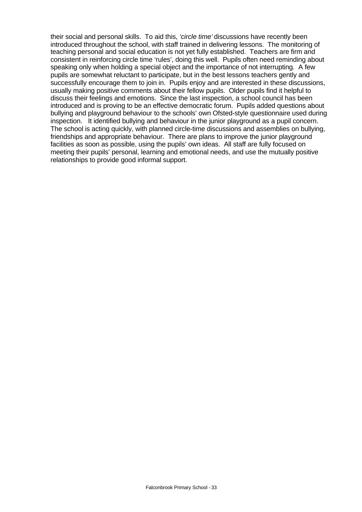their social and personal skills. To aid this, *'circle time'* discussions have recently been introduced throughout the school, with staff trained in delivering lessons. The monitoring of teaching personal and social education is not yet fully established. Teachers are firm and consistent in reinforcing circle time 'rules', doing this well. Pupils often need reminding about speaking only when holding a special object and the importance of not interrupting. A few pupils are somewhat reluctant to participate, but in the best lessons teachers gently and successfully encourage them to join in. Pupils enjoy and are interested in these discussions, usually making positive comments about their fellow pupils. Older pupils find it helpful to discuss their feelings and emotions. Since the last inspection, a school council has been introduced and is proving to be an effective democratic forum. Pupils added questions about bullying and playground behaviour to the schools' own Ofsted-style questionnaire used during inspection. It identified bullying and behaviour in the junior playground as a pupil concern. The school is acting quickly, with planned circle-time discussions and assemblies on bullying, friendships and appropriate behaviour. There are plans to improve the junior playground facilities as soon as possible, using the pupils' own ideas. All staff are fully focused on meeting their pupils' personal, learning and emotional needs, and use the mutually positive relationships to provide good informal support.